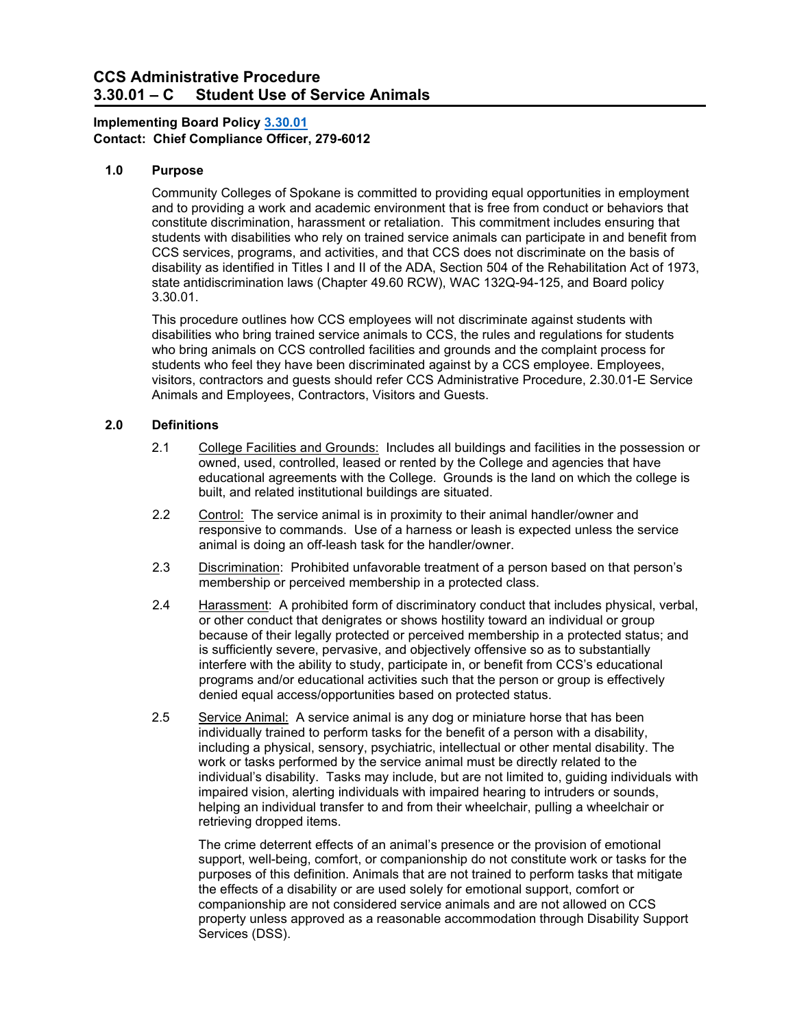#### $3.30.01 - C$ **CCS Administrative Procedure Student Use of Service Animals**

# **Contact: Chief Compliance Officer, 279-6012 Implementing Board Policy [3.30.01](https://ccs.spokane.edu/About-Us/Leadership/Board-of-Trustees/Policies-Procedures/Chapter3#AccWE2-3)**

# **1.0 Purpose**

 CCS services, programs, and activities, and that CCS does not discriminate on the basis of Community Colleges of Spokane is committed to providing equal opportunities in employment and to providing a work and academic environment that is free from conduct or behaviors that constitute discrimination, harassment or retaliation. This commitment includes ensuring that students with disabilities who rely on trained service animals can participate in and benefit from disability as identified in Titles I and II of the ADA, Section 504 of the Rehabilitation Act of 1973, state antidiscrimination laws (Chapter 49.60 RCW), [WAC 132Q-94-125,](http://apps.leg.wa.gov/WAC/default.aspx?cite=132Q-94-125) and Board policy 3.30.01.

This procedure outlines how CCS employees will not discriminate against students with disabilities who bring trained service animals to CCS, the rules and regulations for students who bring animals on CCS controlled facilities and grounds and the complaint process for students who feel they have been discriminated against by a CCS employee. Employees, visitors, contractors and guests should refer CCS Administrative Procedure, 2.30.01-E Service Animals and Employees, Contractors, Visitors and Guests.

# **2.0 Definitions**

- 2.1 College Facilities and Grounds: Includes all buildings and facilities in the possession or owned, used, controlled, leased or rented by the College and agencies that have educational agreements with the College. Grounds is the land on which the college is built, and related institutional buildings are situated.
- 2.2 <u>Control:</u> The service animal is in proximity to their animal handler/owner and responsive to commands. Use of a harness or leash is expected unless the service animal is doing an off-leash task for the handler/owner.
- 2.3 Discrimination: Prohibited unfavorable treatment of a person based on that person's membership or perceived membership in a protected class.
- 2.4 Harassment: A prohibited form of discriminatory conduct that includes physical, verbal, or other conduct that denigrates or shows hostility toward an individual or group because of their legally protected or perceived membership in a protected status; and is sufficiently severe, pervasive, and objectively offensive so as to substantially interfere with the ability to study, participate in, or benefit from CCS's educational programs and/or educational activities such that the person or group is effectively denied equal access/opportunities based on protected status.
- 2.5 Service Animal: A service animal is any dog or miniature horse that has been individual's disability. Tasks may include, but are not limited to, guiding individuals with individually trained to perform tasks for the benefit of a person with a disability, including a physical, sensory, psychiatric, intellectual or other mental disability. The work or tasks performed by the service animal must be directly related to the impaired vision, alerting individuals with impaired hearing to intruders or sounds, helping an individual transfer to and from their wheelchair, pulling a wheelchair or retrieving dropped items.

 The crime deterrent effects of an animal's presence or the provision of emotional the effects of a disability or are used solely for emotional support, comfort or property unless approved as a reasonable accommodation through Disability Support support, well-being, comfort, or companionship do not constitute work or tasks for the purposes of this definition. Animals that are not trained to perform tasks that mitigate companionship are not considered service animals and are not allowed on CCS Services (DSS).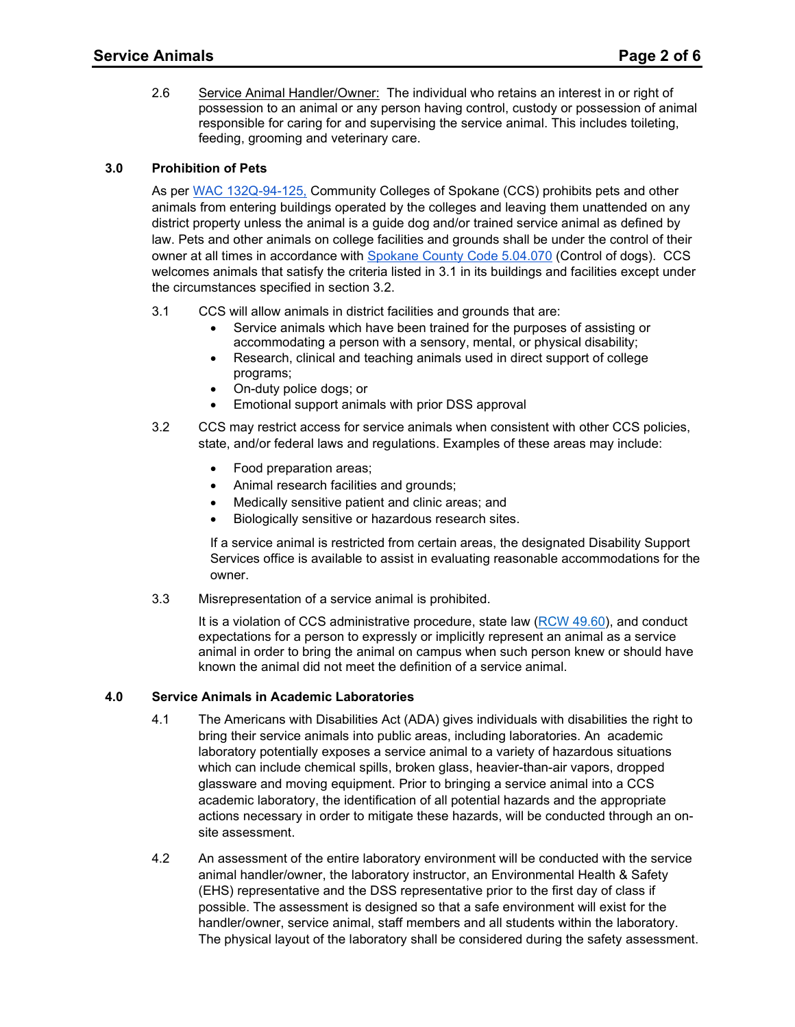2.6 <u>Service Animal Handler/Owner:</u> The individual who retains an interest in or right of possession to an animal or any person having control, custody or possession of animal responsible for caring for and supervising the service animal. This includes toileting, feeding, grooming and veterinary care.

# **3.0 Prohibition of Pets**

 district property unless the animal is a guide dog and/or trained service animal as defined by welcomes animals that satisfy the criteria listed in 3.1 in its buildings and facilities except under As per [WAC 132Q-94-125,](http://apps.leg.wa.gov/wac/default.aspx?cite=132Q-94-125) Community Colleges of Spokane (CCS) prohibits pets and other animals from entering buildings operated by the colleges and leaving them unattended on any law. Pets and other animals on college facilities and grounds shall be under the control of their owner at all times in accordance with [Spokane County Code 5.04.070](https://www.municode.com/library/wa/spokane_county/codes/code_of_ordinances?nodeId=TIT5AN_CH5.04DOCA_5.04.070CODO) (Control of dogs). CCS the circumstances specified in section 3.2.

- 3.1 CCS will allow animals in district facilities and grounds that are:
	- Service animals which have been trained for the purposes of assisting or accommodating a person with a sensory, mental, or physical disability;
	- Research, clinical and teaching animals used in direct support of college programs;
	- On-duty police dogs; or
	- Emotional support animals with prior DSS approval
- state, and/or federal laws and regulations. Examples of these areas may include: 3.2 CCS may restrict access for service animals when consistent with other CCS policies,
	- Food preparation areas;
	- Animal research facilities and grounds;
	- Medically sensitive patient and clinic areas; and
	- Biologically sensitive or hazardous research sites.

 Services office is available to assist in evaluating reasonable accommodations for the If a service animal is restricted from certain areas, the designated Disability Support owner.

3.3 Misrepresentation of a service animal is prohibited.

It is a violation of CCS administrative procedure, state law [\(RCW 49.60\)](https://apps.leg.wa.gov/rcw/default.aspx?cite=49.60), and conduct expectations for a person to expressly or implicitly represent an animal as a service animal in order to bring the animal on campus when such person knew or should have known the animal did not meet the definition of a service animal.

## **4.0 Service Animals in Academic Laboratories**

- bring their service animals into public areas, including laboratories. An academic glassware and moving equipment. Prior to bringing a service animal into a CCS 4.1 The Americans with Disabilities Act (ADA) gives individuals with disabilities the right to laboratory potentially exposes a service animal to a variety of hazardous situations which can include chemical spills, broken glass, heavier-than-air vapors, dropped academic laboratory, the identification of all potential hazards and the appropriate actions necessary in order to mitigate these hazards, will be conducted through an onsite assessment.
- possible. The assessment is designed so that a safe environment will exist for the 4.2 An assessment of the entire laboratory environment will be conducted with the service animal handler/owner, the laboratory instructor, an Environmental Health & Safety (EHS) representative and the DSS representative prior to the first day of class if handler/owner, service animal, staff members and all students within the laboratory. The physical layout of the laboratory shall be considered during the safety assessment.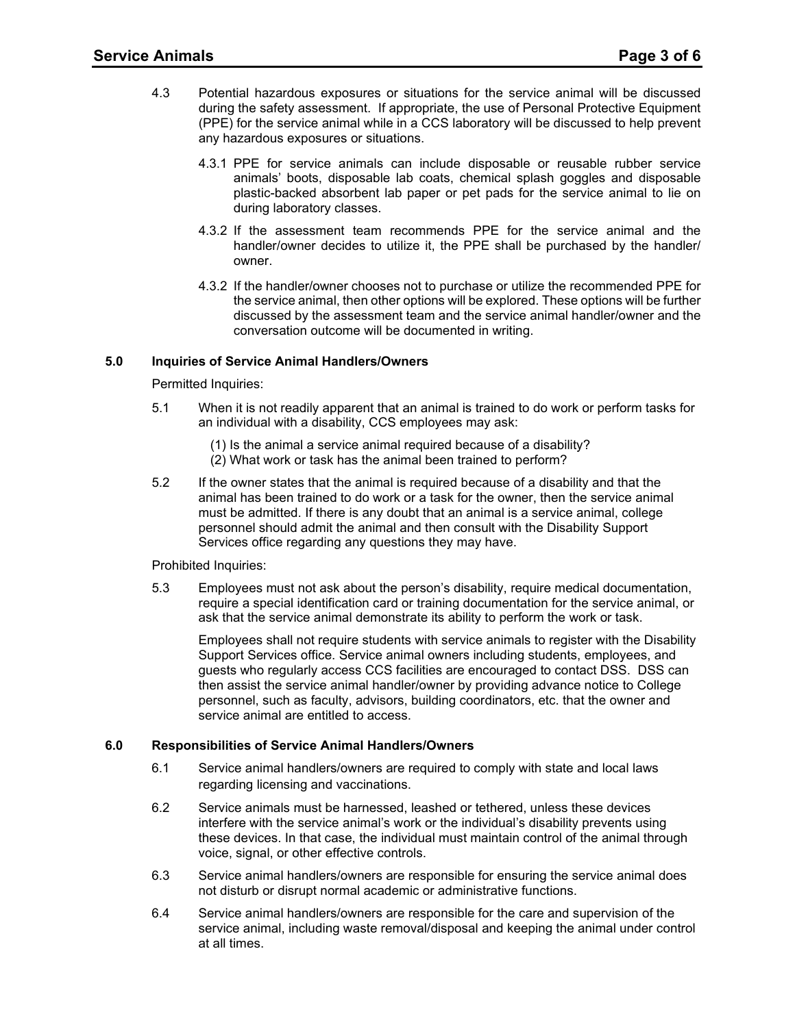- 4.3 Potential hazardous exposures or situations for the service animal will be discussed during the safety assessment. If appropriate, the use of Personal Protective Equipment (PPE) for the service animal while in a CCS laboratory will be discussed to help prevent any hazardous exposures or situations.
	- plastic-backed absorbent lab paper or pet pads for the service animal to lie on 4.3.1 PPE for service animals can include disposable or reusable rubber service animals' boots, disposable lab coats, chemical splash goggles and disposable during laboratory classes.
	- 4.3.2 If the assessment team recommends PPE for the service animal and the handler/owner decides to utilize it, the PPE shall be purchased by the handler/ owner.
	- 4.3.2 If the handler/owner chooses not to purchase or utilize the recommended PPE for the service animal, then other options will be explored. These options will be further discussed by the assessment team and the service animal handler/owner and the conversation outcome will be documented in writing.

# **5.0 Inquiries of Service Animal Handlers/Owners**

Permitted Inquiries:

- 5.1 When it is not readily apparent that an animal is trained to do work or perform tasks for an individual with a disability, CCS employees may ask:
	- (1) Is the animal a service animal required because of a disability?
	- (2) What work or task has the animal been trained to perform?
- 5.2 If the owner states that the animal is required because of a disability and that the animal has been trained to do work or a task for the owner, then the service animal must be admitted. If there is any doubt that an animal is a service animal, college personnel should admit the animal and then consult with the Disability Support Services office regarding any questions they may have.

## Prohibited Inquiries:

 5.3 Employees must not ask about the person's disability, require medical documentation, require a special identification card or training documentation for the service animal, or ask that the service animal demonstrate its ability to perform the work or task.

 guests who regularly access CCS facilities are encouraged to contact DSS. DSS can Employees shall not require students with service animals to register with the Disability Support Services office. Service animal owners including students, employees, and then assist the service animal handler/owner by providing advance notice to College personnel, such as faculty, advisors, building coordinators, etc. that the owner and service animal are entitled to access.

# **6.0 Responsibilities of Service Animal Handlers/Owners**

- 6.1 Service animal handlers/owners are required to comply with state and local laws regarding licensing and vaccinations.
- voice, signal, or other effective controls. 6.2 Service animals must be harnessed, leashed or tethered, unless these devices interfere with the service animal's work or the individual's disability prevents using these devices. In that case, the individual must maintain control of the animal through
- 6.3 Service animal handlers/owners are responsible for ensuring the service animal does not disturb or disrupt normal academic or administrative functions.
- 6.4 Service animal handlers/owners are responsible for the care and supervision of the service animal, including waste removal/disposal and keeping the animal under control at all times.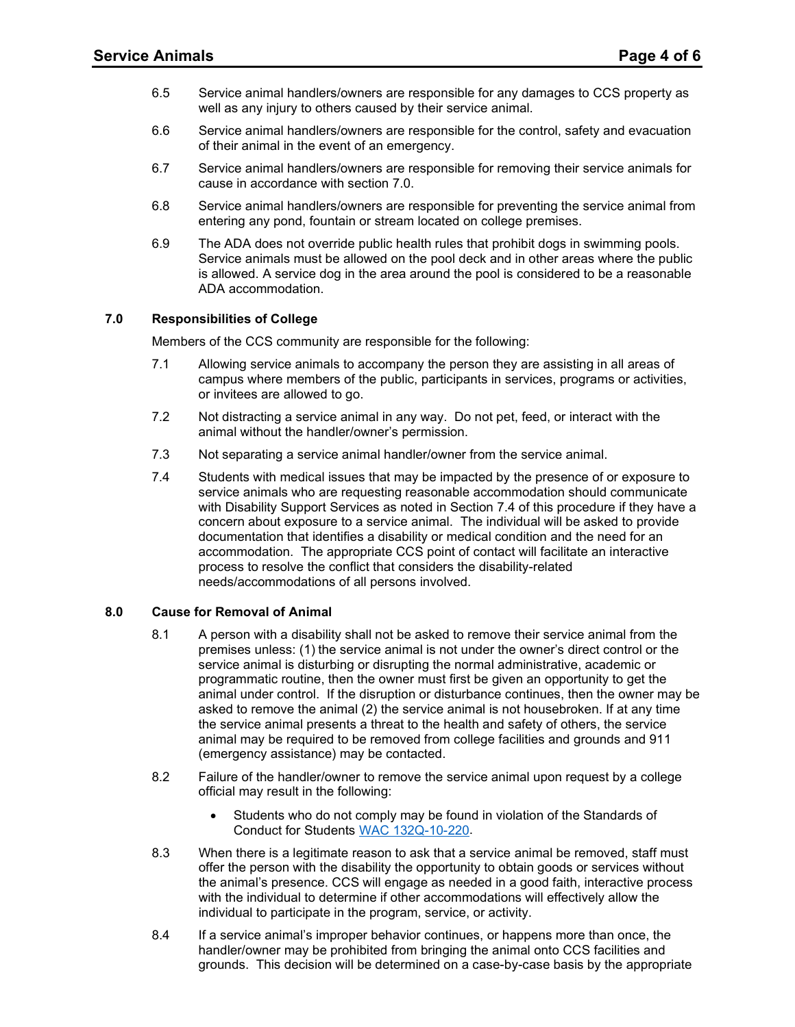- 6.5 Service animal handlers/owners are responsible for any damages to CCS property as well as any injury to others caused by their service animal.
- 6.6 Service animal handlers/owners are responsible for the control, safety and evacuation of their animal in the event of an emergency.
- 6.7 Service animal handlers/owners are responsible for removing their service animals for cause in accordance with section 7.0.
- 6.8 Service animal handlers/owners are responsible for preventing the service animal from entering any pond, fountain or stream located on college premises.
- 6.9 The ADA does not override public health rules that prohibit dogs in swimming pools. Service animals must be allowed on the pool deck and in other areas where the public is allowed. A service dog in the area around the pool is considered to be a reasonable ADA accommodation.

## **7.0 Responsibilities of College**

Members of the CCS community are responsible for the following:

- 7.1 Allowing service animals to accompany the person they are assisting in all areas of campus where members of the public, participants in services, programs or activities, or invitees are allowed to go.
- 7.2 Not distracting a service animal in any way. Do not pet, feed, or interact with the animal without the handler/owner's permission.
- 7.3 Not separating a service animal handler/owner from the service animal.
- concern about exposure to a service animal. The individual will be asked to provide needs/accommodations of all persons involved. 7.4 Students with medical issues that may be impacted by the presence of or exposure to service animals who are requesting reasonable accommodation should communicate with Disability Support Services as noted in Section 7.4 of this procedure if they have a documentation that identifies a disability or medical condition and the need for an accommodation. The appropriate CCS point of contact will facilitate an interactive process to resolve the conflict that considers the disability-related

## **8.0 Cause for Removal of Animal**

- 8.1 A person with a disability shall not be asked to remove their service animal from the premises unless: (1) the service animal is not under the owner's direct control or the service animal is disturbing or disrupting the normal administrative, academic or programmatic routine, then the owner must first be given an opportunity to get the animal under control. If the disruption or disturbance continues, then the owner may be asked to remove the animal (2) the service animal is not housebroken. If at any time the service animal presents a threat to the health and safety of others, the service animal may be required to be removed from college facilities and grounds and 911 (emergency assistance) may be contacted.
- 8.2 Failure of the handler/owner to remove the service animal upon request by a college official may result in the following:
	- Students who do not comply may be found in violation of the Standards of Conduct for Students [WAC 132Q-10-220.](https://apps.leg.wa.gov/WAC/default.aspx?cite=132Q-10-220)
- 8.3 When there is a legitimate reason to ask that a service animal be removed, staff must offer the person with the disability the opportunity to obtain goods or services without the animal's presence. CCS will engage as needed in a good faith, interactive process with the individual to determine if other accommodations will effectively allow the individual to participate in the program, service, or activity.
- 8.4 handler/owner may be prohibited from bringing the animal onto CCS facilities and If a service animal's improper behavior continues, or happens more than once, the grounds. This decision will be determined on a case-by-case basis by the appropriate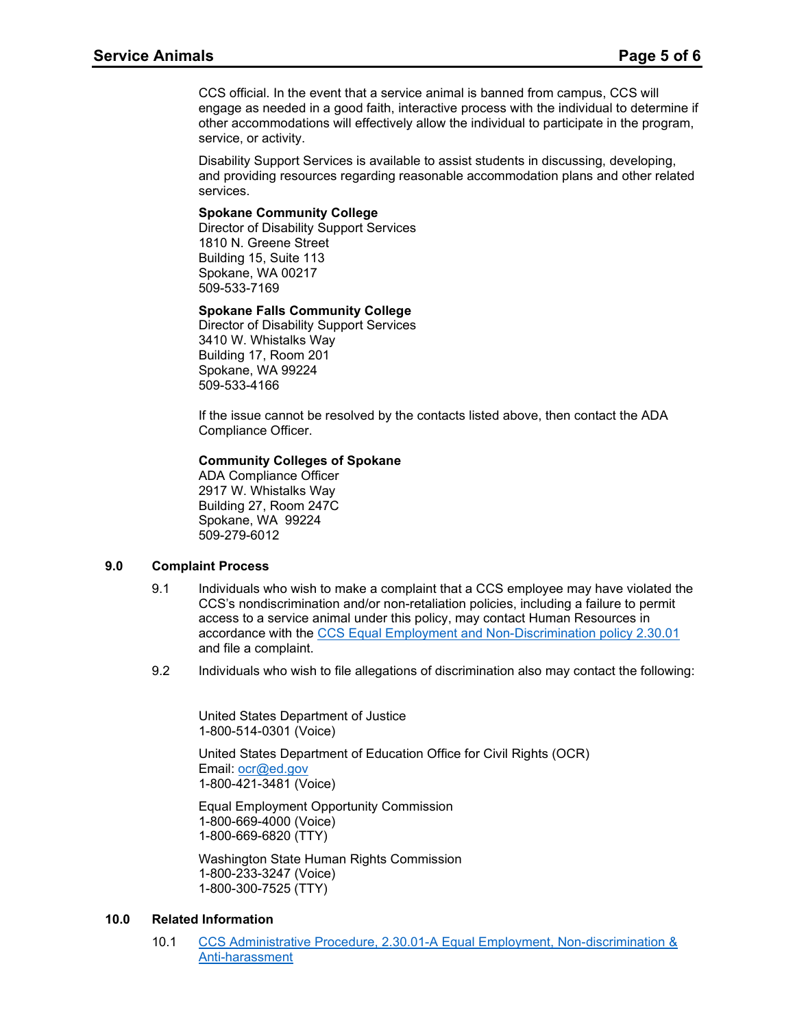CCS official. In the event that a service animal is banned from campus, CCS will engage as needed in a good faith, interactive process with the individual to determine if other accommodations will effectively allow the individual to participate in the program, service, or activity.

Disability Support Services is available to assist students in discussing, developing, and providing resources regarding reasonable accommodation plans and other related services.

## **Spokane Community College**

 Director of Disability Support Services Building 15, Suite 113 1810 N. Greene Street Spokane, WA 00217 509-533-7169

#### **Spokane Falls Community College**

 Director of Disability Support Services 3410 W. Whistalks Way Building 17, Room 201 Spokane, WA 99224 509-533-4166

If the issue cannot be resolved by the contacts listed above, then contact the ADA Compliance Officer.

#### **Community Colleges of Spokane**

ADA Compliance Officer 2917 W. Whistalks Way Building 27, Room 247C Spokane, WA 99224 509-279-6012

#### **9.0 Complaint Process**

- 9.1 Individuals who wish to make a complaint that a CCS employee may have violated the CCS's nondiscrimination and/or non-retaliation policies, including a failure to permit access to a service animal under this policy, may contact Human Resources in accordance with the [CCS Equal Employment and Non-Discrimination policy 2.30.01](https://ccs.spokane.edu/About-Us/Leadership/Board-of-Trustees/Policies-Procedures/Chapter2)  and file a complaint.
- 9.2 Individuals who wish to file allegations of discrimination also may contact the following:

United States Department of Justice 1-800-514-0301 (Voice)

Email: ocr@ed.gov United States Department of Education Office for Civil Rights (OCR) 1-800-421-3481 (Voice)

Equal Employment Opportunity Commission 1-800-669-4000 (Voice) 1-800-669-6820 (TTY)

Washington State Human Rights Commission 1-800-233-3247 (Voice) 1-800-300-7525 (TTY)

## **10.0 Related Information**

10.1 CCS Administrative Procedure, [2.30.01-A Equal Employment, Non-discrimination &](https://ccs.spokane.edu/ccsglobal/media/Global/PDFs/District/Policies/CH2/2.30.01_EqualEmploymentNonDiscriminationAntiHarass/2-30-01A_DiscriminationComplaint.pdf)  [Anti-harassment](https://ccs.spokane.edu/ccsglobal/media/Global/PDFs/District/Policies/CH2/2.30.01_EqualEmploymentNonDiscriminationAntiHarass/2-30-01A_DiscriminationComplaint.pdf)